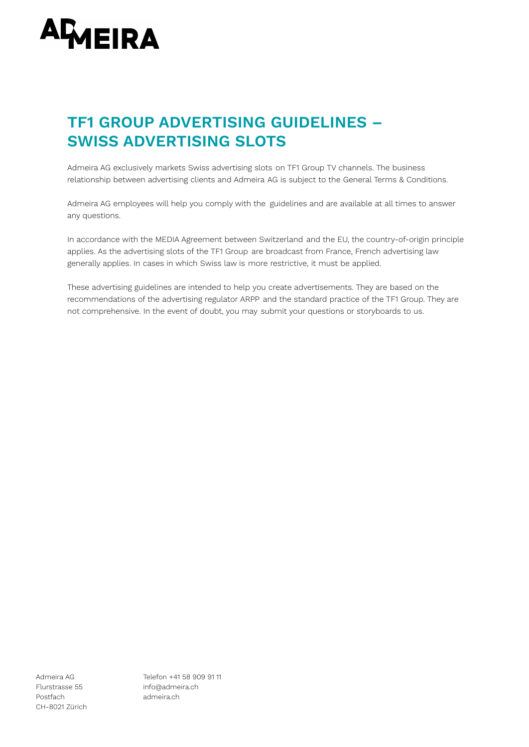

# **TF1 GROUP ADVERTISING GUIDELINES – SWISS ADVERTISING SLOTS**

Admeira AG exclusively markets Swiss advertising slots on TF1 Group TV channels. The business relationship between advertising clients and Admeira AG is subject to the General Terms & Conditions.

Admeira AG employees will help you comply with the guidelines and are available at all times to answer any questions.

In accordance with the MEDIA Agreement between Switzerland and the EU, the country-of-origin principle applies. As the advertising slots of the TF1 Group are broadcast from France, French advertising law generally applies. In cases in which Swiss law is more restrictive, it must be applied.

These advertising guidelines are intended to help you create advertisements. They are based on the recommendations of the advertising regulator ARPP and the standard practice of the TF1 Group. They are not comprehensive. In the event of doubt, you may submit your questions or storyboards to us.

Postfach admeira.ch CH-8021 Zürich

Admeira AG Telefon +41 58 909 91 11 Flurstrasse 55 info@admeira.ch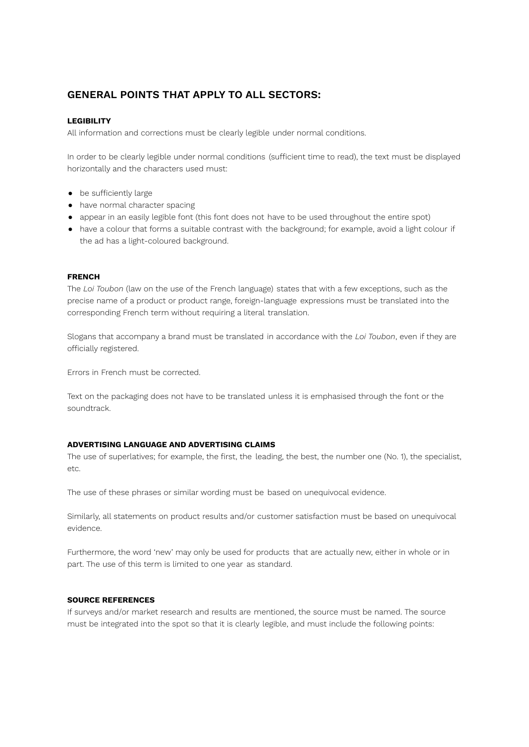# **GENERAL POINTS THAT APPLY TO ALL SECTORS:**

# **LEGIBILITY**

All information and corrections must be clearly legible under normal conditions.

In order to be clearly legible under normal conditions (sufficient time to read), the text must be displayed horizontally and the characters used must:

- be sufficiently large
- have normal character spacing
- appear in an easily legible font (this font does not have to be used throughout the entire spot)
- have a colour that forms a suitable contrast with the background; for example, avoid a light colour if the ad has a light-coloured background.

#### **FRENCH**

The *Loi Toubon* (law on the use of the French language) states that with a few exceptions, such as the precise name of a product or product range, foreign-language expressions must be translated into the corresponding French term without requiring a literal translation.

Slogans that accompany a brand must be translated in accordance with the *Loi Toubon*, even if they are officially registered.

Errors in French must be corrected.

Text on the packaging does not have to be translated unless it is emphasised through the font or the soundtrack.

## **ADVERTISING LANGUAGE AND ADVERTISING CLAIMS**

The use of superlatives; for example, the first, the leading, the best, the number one (No. 1), the specialist, etc.

The use of these phrases or similar wording must be based on unequivocal evidence.

Similarly, all statements on product results and/or customer satisfaction must be based on unequivocal evidence.

Furthermore, the word 'new' may only be used for products that are actually new, either in whole or in part. The use of this term is limited to one year as standard.

## **SOURCE REFERENCES**

If surveys and/or market research and results are mentioned, the source must be named. The source must be integrated into the spot so that it is clearly legible, and must include the following points: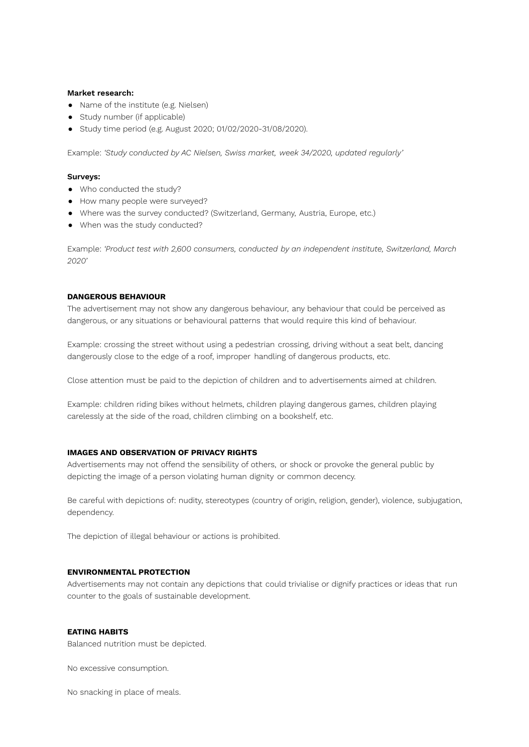#### **Market research:**

- Name of the institute (e.g. Nielsen)
- Study number (if applicable)
- Study time period (e.g. August 2020; 01/02/2020-31/08/2020).

Example: *'Study conducted by AC Nielsen, Swiss market, week 34/2020, updated regularly'*

#### **Surveys:**

- Who conducted the study?
- How many people were surveyed?
- Where was the survey conducted? (Switzerland, Germany, Austria, Europe, etc.)
- When was the study conducted?

Example: *'Product test with 2,600 consumers, conducted by an independent institute, Switzerland, March 2020'*

#### **DANGEROUS BEHAVIOUR**

The advertisement may not show any dangerous behaviour, any behaviour that could be perceived as dangerous, or any situations or behavioural patterns that would require this kind of behaviour.

Example: crossing the street without using a pedestrian crossing, driving without a seat belt, dancing dangerously close to the edge of a roof, improper handling of dangerous products, etc.

Close attention must be paid to the depiction of children and to advertisements aimed at children.

Example: children riding bikes without helmets, children playing dangerous games, children playing carelessly at the side of the road, children climbing on a bookshelf, etc.

# **IMAGES AND OBSERVATION OF PRIVACY RIGHTS**

Advertisements may not offend the sensibility of others, or shock or provoke the general public by depicting the image of a person violating human dignity or common decency.

Be careful with depictions of: nudity, stereotypes (country of origin, religion, gender), violence, subjugation, dependency.

The depiction of illegal behaviour or actions is prohibited.

#### **ENVIRONMENTAL PROTECTION**

Advertisements may not contain any depictions that could trivialise or dignify practices or ideas that run counter to the goals of sustainable development.

#### **EATING HABITS**

Balanced nutrition must be depicted.

No excessive consumption.

No snacking in place of meals.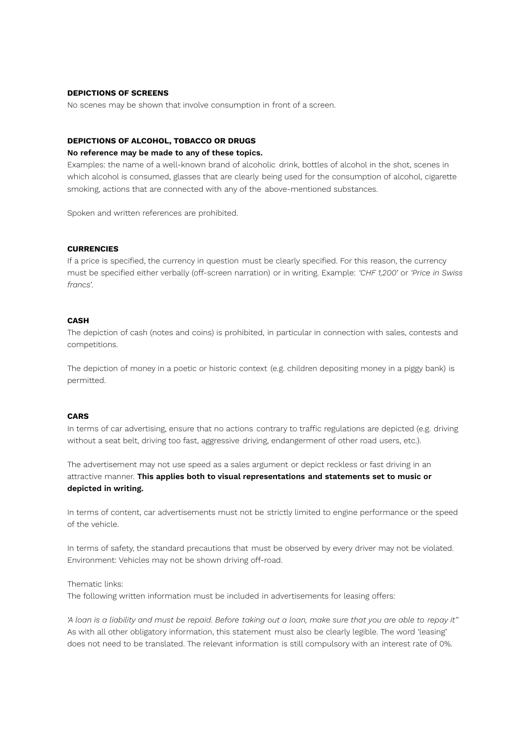### **DEPICTIONS OF SCREENS**

No scenes may be shown that involve consumption in front of a screen.

# **DEPICTIONS OF ALCOHOL, TOBACCO OR DRUGS**

#### **No reference may be made to any of these topics.**

Examples: the name of a well-known brand of alcoholic drink, bottles of alcohol in the shot, scenes in which alcohol is consumed, glasses that are clearly being used for the consumption of alcohol, cigarette smoking, actions that are connected with any of the above-mentioned substances.

Spoken and written references are prohibited.

## **CURRENCIES**

If a price is specified, the currency in question must be clearly specified. For this reason, the currency must be specified either verbally (off-screen narration) or in writing. Example: *'CHF 1,200'* or *'Price in Swiss francs'*.

#### **CASH**

The depiction of cash (notes and coins) is prohibited, in particular in connection with sales, contests and competitions.

The depiction of money in a poetic or historic context (e.g. children depositing money in a piggy bank) is permitted.

#### **CARS**

In terms of car advertising, ensure that no actions contrary to traffic regulations are depicted (e.g. driving without a seat belt, driving too fast, aggressive driving, endangerment of other road users, etc.).

The advertisement may not use speed as a sales argument or depict reckless or fast driving in an attractive manner. **This applies both to visual representations and statements set to music or depicted in writing.**

In terms of content, car advertisements must not be strictly limited to engine performance or the speed of the vehicle.

In terms of safety, the standard precautions that must be observed by every driver may not be violated. Environment: Vehicles may not be shown driving off-road.

Thematic links:

The following written information must be included in advertisements for leasing offers:

'A loan is a liability and must be repaid. Before taking out a loan, make sure that you are able to repay it" As with all other obligatory information, this statement must also be clearly legible. The word 'leasing' does not need to be translated. The relevant information is still compulsory with an interest rate of 0%.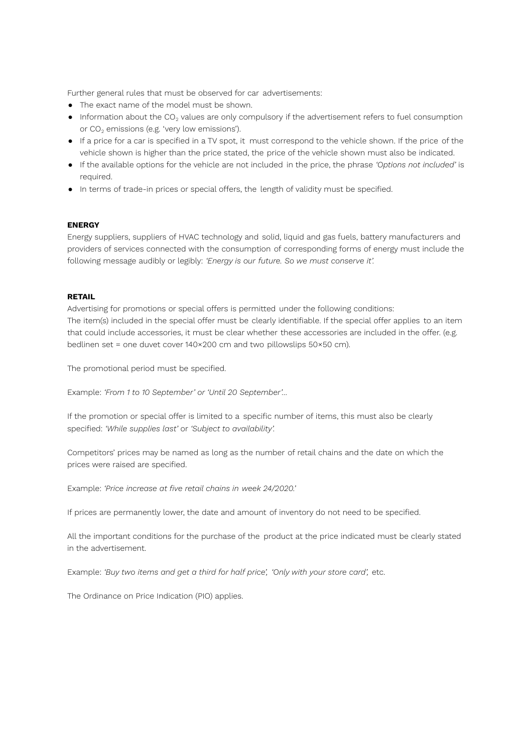Further general rules that must be observed for car advertisements:

- The exact name of the model must be shown.
- $\bullet$  Information about the CO<sub>2</sub> values are only compulsory if the advertisement refers to fuel consumption or  $CO<sub>2</sub>$  emissions (e.g. 'very low emissions').
- If a price for a car is specified in a TV spot, it must correspond to the vehicle shown. If the price of the vehicle shown is higher than the price stated, the price of the vehicle shown must also be indicated.
- If the available options for the vehicle are not included in the price, the phrase *'Options not included'* is required.
- In terms of trade-in prices or special offers, the length of validity must be specified.

# **ENERGY**

Energy suppliers, suppliers of HVAC technology and solid, liquid and gas fuels, battery manufacturers and providers of services connected with the consumption of corresponding forms of energy must include the following message audibly or legibly: *'Energy is our future. So we must conserve it'.*

# **RETAIL**

Advertising for promotions or special offers is permitted under the following conditions: The item(s) included in the special offer must be clearly identifiable. If the special offer applies to an item that could include accessories, it must be clear whether these accessories are included in the offer. (e.g. bedlinen set = one duvet cover 140×200 cm and two pillowslips 50×50 cm).

The promotional period must be specified.

Example: *'From 1 to 10 September' or 'Until 20 September'…*

If the promotion or special offer is limited to a specific number of items, this must also be clearly specified: *'While supplies last'* or *'Subject to availability'.*

Competitors' prices may be named as long as the number of retail chains and the date on which the prices were raised are specified.

Example: *'Price increase at five retail chains in week 24/2020.'*

If prices are permanently lower, the date and amount of inventory do not need to be specified.

All the important conditions for the purchase of the product at the price indicated must be clearly stated in the advertisement.

Example: *'Buy two items and get a third for half price', 'Only with your store card',* etc.

The Ordinance on Price Indication (PIO) applies.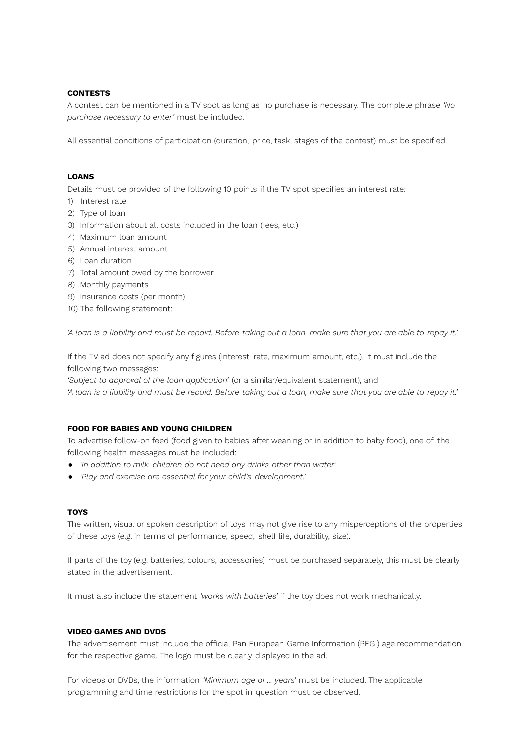# **CONTESTS**

A contest can be mentioned in a TV spot as long as no purchase is necessary. The complete phrase *'No purchase necessary to enter'* must be included.

All essential conditions of participation (duration, price, task, stages of the contest) must be specified.

#### **LOANS**

Details must be provided of the following 10 points if the TV spot specifies an interest rate:

- 1) Interest rate
- 2) Type of loan
- 3) Information about all costs included in the loan (fees, etc.)
- 4) Maximum loan amount
- 5) Annual interest amount
- 6) Loan duration
- 7) Total amount owed by the borrower
- 8) Monthly payments
- 9) Insurance costs (per month)
- 10) The following statement:

'A loan is a liability and must be repaid. Before taking out a loan, make sure that you are able to repay it.'

If the TV ad does not specify any figures (interest rate, maximum amount, etc.), it must include the following two messages:

*'Subject to approval of the loan application'* (or a similar/equivalent statement), and 'A loan is a liability and must be repaid. Before taking out a loan, make sure that you are able to repay it.'

#### **FOOD FOR BABIES AND YOUNG CHILDREN**

To advertise follow-on feed (food given to babies after weaning or in addition to baby food), one of the following health messages must be included:

- *● 'In addition to milk, children do not need any drinks other than water.'*
- *● 'Play and exercise are essential for your child's development.'*

#### **TOYS**

The written, visual or spoken description of toys may not give rise to any misperceptions of the properties of these toys (e.g. in terms of performance, speed, shelf life, durability, size).

If parts of the toy (e.g. batteries, colours, accessories) must be purchased separately, this must be clearly stated in the advertisement.

It must also include the statement *'works with batteries'* if the toy does not work mechanically.

# **VIDEO GAMES AND DVDS**

The advertisement must include the official Pan European Game Information (PEGI) age recommendation for the respective game. The logo must be clearly displayed in the ad.

For videos or DVDs, the information *'Minimum age of ... years'* must be included. The applicable programming and time restrictions for the spot in question must be observed.